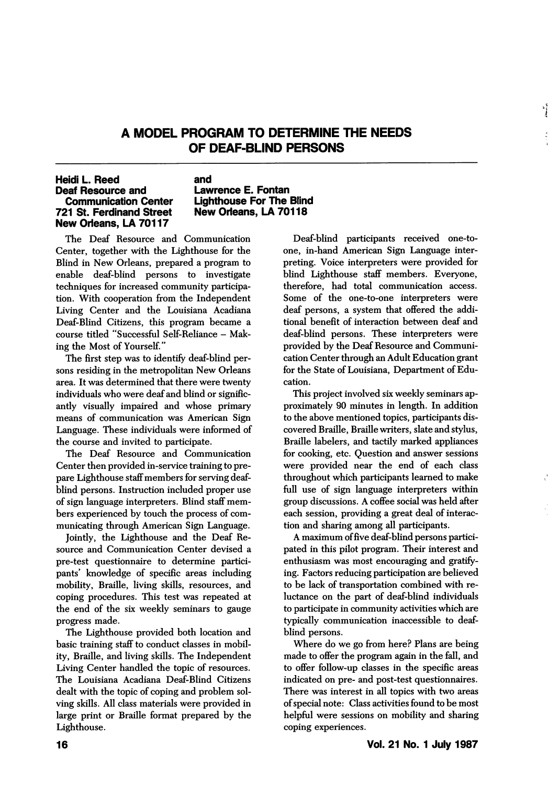## A MODEL PROGRAM TO DETERMINE THE NEEDS OF DEAF-BLIND PERSONS

## Heidi L. Reed Deaf Resource and Communication Center 721 St. Ferdinand Street New Orleans, LA 70117

## and Lawrence E. Fontan Lighthouse For The Blind New Orleans, LA 70118

The Deaf Resource and Communication Center, together with the Lighthouse for the Blind in New Orleans, prepared a program to enable deaf-blind persons to investigate techniques for increased community participa tion. With cooperation from the Independent Living Center and the Louisiana Acadiana Deaf-Blind Citizens, this program became a course titled "Successful Self-Reliance - Mak ing the Most of Yourself."

The first step was to identify deaf-blind per sons residing in the metropolitan New Orleans area. It was determined that there were twenty individuals who were deaf and blind or signific antly visually impaired and whose primary means of communication was American Sign Language. These individuals were informed of the course and invited to participate.

The Deaf Resource and Communication Center then provided in-service training to pre pare Lighthouse staff members for serving deafblind persons. Instruction included proper use of sign language interpreters. Blind staff mem bers experienced by touch the process of com municating through American Sign Language.

Jointly, the Lighthouse and the Deaf Re source and Communication Center devised a pre-test questionnaire to determine partici pants' knowledge of specific areas including mobility. Braille, living skills, resources, and coping procedures. This test was repeated at the end of the six weekly seminars to gauge progress made.

The Lighthouse provided both location and basic training staff to conduct classes in mobil ity, Braille, and living skills. The Independent Living Center handled the topic of resources. The Louisiana Acadiana Deaf-Blind Citizens dealt with the topic of coping and problem sol ving skills. All class materials were provided in large print or Braille format prepared by the Lighthouse.

Deaf-blind participants received one-toone, in-hand American Sign Language inter preting. Voice interpreters were provided for blind Lighthouse staff members. Everyone, therefore, had total communication access. Some of the one-to-one interpreters were deaf persons, a system that offered the addi tional benefit of interaction between deaf and deaf-blind persons. These interpreters were provided by the Deaf Resource and Communi cation Center through an Adult Education grant for the State of Louisiana, Department of Edu cation.

This project involved six weekly seminars ap proximately 90 minutes in length. In addition to the above mentioned topics, participants dis covered Braille, Braille writers, slate and stylus. Braille labelers, and tactily marked appliances for cooking, etc. Question and answer sessions were provided near the end of each class throughout which participants learned to make full use of sign language interpreters within group discussions. A coffee social was held after each session, providing a great deal of interac tion and sharing among all participants.

A maximum of five deaf-blind persons partici pated in this pilot program. Their interest and enthusiasm was most encouraging and gratify ing. Factors reducing participation are believed to be lack of transportation combined with re luctance on the part of deaf-blind individuals to participate in community activities which are typically communication inaccessible to deafblind persons.

Where do we go from here? Plans are being made to offer the program again in the fall, and to offer follow-up classes in the specific areas indicated on pre- and post-test questionnaires. There was interest in all topics with two areas of special note: Class activities found to be most helpful were sessions on mobility and sharing coping experiences.